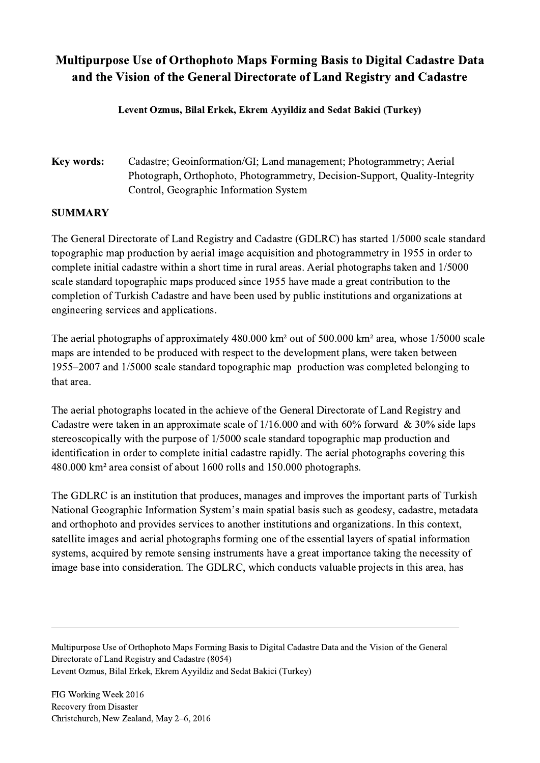## Multipurpose Use of Orthophoto Maps Forming Basis to Digital Cadastre Data and the Vision of the General Directorate of Land Registry and Cadastre

Levent Ozmus, Bilal Erkek, Ekrem Ayyildiz and Sedat Bakici (Turkey)

Key words: Cadastre; Geoinformation/GI; Land management; Photogrammetry; Aerial Photograph, Orthophoto, Photogrammetry, Decision-Support, Quality-Integrity Control, Geographic Information System

## **SUMMARY**

The General Directorate of Land Registry and Cadastre (GDLRC) has started 1/5000 scale standard topographic map production by aerial image acquisition and photogrammetry in 1955 in order to complete initial cadastre within a short time in rural areas. Aerial photographs taken and 1/5000 scale standard topographic maps produced since 1955 have made a great contribution to the completion of Turkish Cadastre and have been used by public institutions and organizations at engineering services and applications.

The aerial photographs of approximately 480.000 km² out of 500.000 km² area, whose 1/5000 scale maps are intended to be produced with respect to the development plans, were taken between 1955–2007 and 1/5000 scale standard topographic map production was completed belonging to that area.

The aerial photographs located in the achieve of the General Directorate of Land Registry and Cadastre were taken in an approximate scale of  $1/16.000$  and with 60% forward & 30% side laps stereoscopically with the purpose of 1/5000 scale standard topographic map production and identification in order to complete initial cadastre rapidly. The aerial photographs covering this 480.000 km² area consist of about 1600 rolls and 150.000 photographs.

The GDLRC is an institution that produces, manages and improves the important parts of Turkish National Geographic Information System's main spatial basis such as geodesy, cadastre, metadata and orthophoto and provides services to another institutions and organizations. In this context, satellite images and aerial photographs forming one of the essential layers of spatial information systems, acquired by remote sensing instruments have a great importance taking the necessity of image base into consideration. The GDLRC, which conducts valuable projects in this area, has

Multipurpose Use of Orthophoto Maps Forming Basis to Digital Cadastre Data and the Vision of the General Directorate of Land Registry and Cadastre (8054) Levent Ozmus, Bilal Erkek, Ekrem Ayyildiz and Sedat Bakici (Turkey)

 $\mathcal{L}_\mathcal{L} = \{ \mathcal{L}_\mathcal{L} = \{ \mathcal{L}_\mathcal{L} = \{ \mathcal{L}_\mathcal{L} = \{ \mathcal{L}_\mathcal{L} = \{ \mathcal{L}_\mathcal{L} = \{ \mathcal{L}_\mathcal{L} = \{ \mathcal{L}_\mathcal{L} = \{ \mathcal{L}_\mathcal{L} = \{ \mathcal{L}_\mathcal{L} = \{ \mathcal{L}_\mathcal{L} = \{ \mathcal{L}_\mathcal{L} = \{ \mathcal{L}_\mathcal{L} = \{ \mathcal{L}_\mathcal{L} = \{ \mathcal{L}_\mathcal{$ 

FIG Working Week 2016 Recovery from Disaster Christchurch, New Zealand, May 2–6, 2016